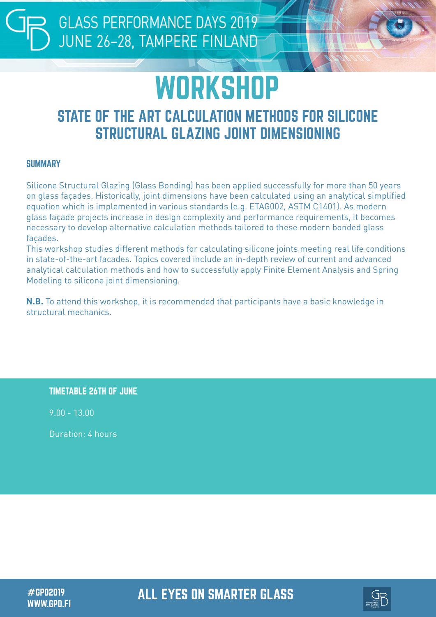## **WORKSHOP**

### STATE OF THE ART CALCULATION METHODS FOR SILICONE STRUCTURAL GLAZING JOINT DIMENSIONING

#### **SUMMARY**

Silicone Structural Glazing (Glass Bonding) has been applied successfully for more than 50 years on glass façades. Historically, joint dimensions have been calculated using an analytical simplified equation which is implemented in various standards (e.g. ETAG002, ASTM C1401). As modern glass façade projects increase in design complexity and performance requirements, it becomes necessary to develop alternative calculation methods tailored to these modern bonded glass façades.

This workshop studies different methods for calculating silicone joints meeting real life conditions in state-of-the-art facades. Topics covered include an in-depth review of current and advanced analytical calculation methods and how to successfully apply Finite Element Analysis and Spring Modeling to silicone joint dimensioning.

**N.B.** To attend this workshop, it is recommended that participants have a basic knowledge in structural mechanics.

TIMETABLE 26TH OF JUNE

9.00 - 13.00

Duration: 4 hours

WWW.GPD.FI

#GPD2019 ALL EYES ON SMARTER GLASS